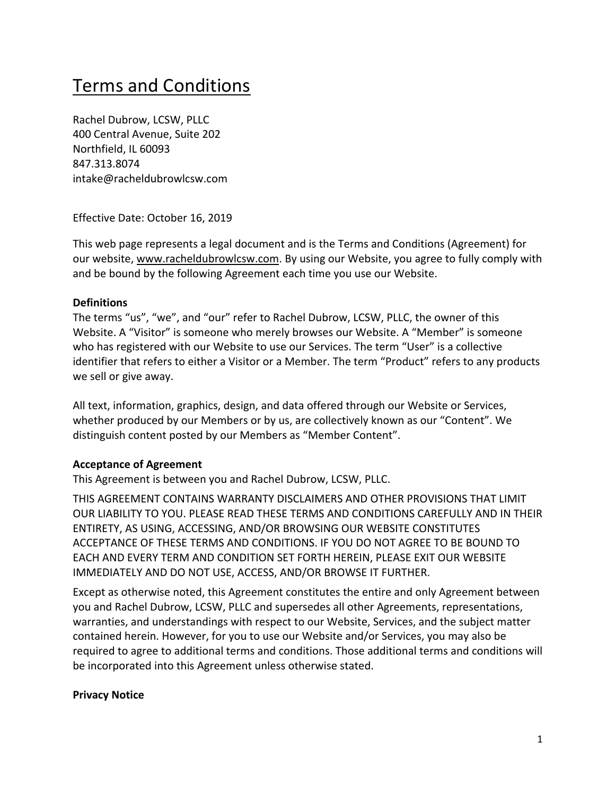# Terms and Conditions

Rachel Dubrow, LCSW, PLLC 400 Central Avenue, Suite 202 Northfield, IL 60093 847.313.8074 intake@racheldubrowlcsw.com

Effective Date: October 16, 2019

This web page represents a legal document and is the Terms and Conditions (Agreement) for our website, www.racheldubrowlcsw.com. By using our Website, you agree to fully comply with and be bound by the following Agreement each time you use our Website.

#### **Definitions**

The terms "us", "we", and "our" refer to Rachel Dubrow, LCSW, PLLC, the owner of this Website. A "Visitor" is someone who merely browses our Website. A "Member" is someone who has registered with our Website to use our Services. The term "User" is a collective identifier that refers to either a Visitor or a Member. The term "Product" refers to any products we sell or give away.

All text, information, graphics, design, and data offered through our Website or Services, whether produced by our Members or by us, are collectively known as our "Content". We distinguish content posted by our Members as "Member Content".

#### **Acceptance of Agreement**

This Agreement is between you and Rachel Dubrow, LCSW, PLLC.

THIS AGREEMENT CONTAINS WARRANTY DISCLAIMERS AND OTHER PROVISIONS THAT LIMIT OUR LIABILITY TO YOU. PLEASE READ THESE TERMS AND CONDITIONS CAREFULLY AND IN THEIR ENTIRETY, AS USING, ACCESSING, AND/OR BROWSING OUR WEBSITE CONSTITUTES ACCEPTANCE OF THESE TERMS AND CONDITIONS. IF YOU DO NOT AGREE TO BE BOUND TO EACH AND EVERY TERM AND CONDITION SET FORTH HEREIN, PLEASE EXIT OUR WEBSITE IMMEDIATELY AND DO NOT USE, ACCESS, AND/OR BROWSE IT FURTHER.

Except as otherwise noted, this Agreement constitutes the entire and only Agreement between you and Rachel Dubrow, LCSW, PLLC and supersedes all other Agreements, representations, warranties, and understandings with respect to our Website, Services, and the subject matter contained herein. However, for you to use our Website and/or Services, you may also be required to agree to additional terms and conditions. Those additional terms and conditions will be incorporated into this Agreement unless otherwise stated.

#### **Privacy Notice**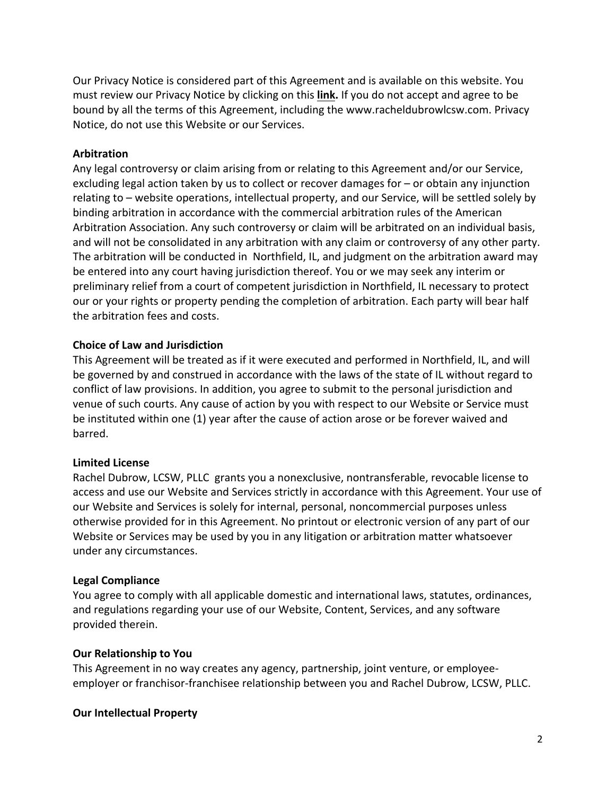Our Privacy Notice is considered part of this Agreement and is available on this website. You must review our Privacy Notice by clicking on this **link.** If you do not accept and agree to be bound by all the terms of this Agreement, including the www.racheldubrowlcsw.com. Privacy Notice, do not use this Website or our Services.

#### **Arbitration**

Any legal controversy or claim arising from or relating to this Agreement and/or our Service, excluding legal action taken by us to collect or recover damages for – or obtain any injunction relating to – website operations, intellectual property, and our Service, will be settled solely by binding arbitration in accordance with the commercial arbitration rules of the American Arbitration Association. Any such controversy or claim will be arbitrated on an individual basis, and will not be consolidated in any arbitration with any claim or controversy of any other party. The arbitration will be conducted in Northfield, IL, and judgment on the arbitration award may be entered into any court having jurisdiction thereof. You or we may seek any interim or preliminary relief from a court of competent jurisdiction in Northfield, IL necessary to protect our or your rights or property pending the completion of arbitration. Each party will bear half the arbitration fees and costs.

#### **Choice of Law and Jurisdiction**

This Agreement will be treated as if it were executed and performed in Northfield, IL, and will be governed by and construed in accordance with the laws of the state of IL without regard to conflict of law provisions. In addition, you agree to submit to the personal jurisdiction and venue of such courts. Any cause of action by you with respect to our Website or Service must be instituted within one (1) year after the cause of action arose or be forever waived and barred.

#### **Limited License**

Rachel Dubrow, LCSW, PLLC grants you a nonexclusive, nontransferable, revocable license to access and use our Website and Services strictly in accordance with this Agreement. Your use of our Website and Services is solely for internal, personal, noncommercial purposes unless otherwise provided for in this Agreement. No printout or electronic version of any part of our Website or Services may be used by you in any litigation or arbitration matter whatsoever under any circumstances.

#### **Legal Compliance**

You agree to comply with all applicable domestic and international laws, statutes, ordinances, and regulations regarding your use of our Website, Content, Services, and any software provided therein.

#### **Our Relationship to You**

This Agreement in no way creates any agency, partnership, joint venture, or employeeemployer or franchisor-franchisee relationship between you and Rachel Dubrow, LCSW, PLLC.

#### **Our Intellectual Property**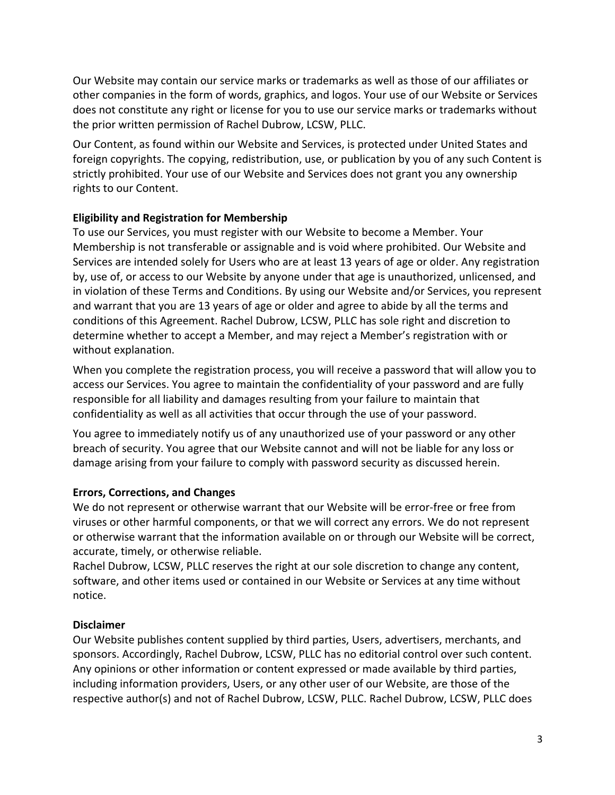Our Website may contain our service marks or trademarks as well as those of our affiliates or other companies in the form of words, graphics, and logos. Your use of our Website or Services does not constitute any right or license for you to use our service marks or trademarks without the prior written permission of Rachel Dubrow, LCSW, PLLC.

Our Content, as found within our Website and Services, is protected under United States and foreign copyrights. The copying, redistribution, use, or publication by you of any such Content is strictly prohibited. Your use of our Website and Services does not grant you any ownership rights to our Content.

# **Eligibility and Registration for Membership**

To use our Services, you must register with our Website to become a Member. Your Membership is not transferable or assignable and is void where prohibited. Our Website and Services are intended solely for Users who are at least 13 years of age or older. Any registration by, use of, or access to our Website by anyone under that age is unauthorized, unlicensed, and in violation of these Terms and Conditions. By using our Website and/or Services, you represent and warrant that you are 13 years of age or older and agree to abide by all the terms and conditions of this Agreement. Rachel Dubrow, LCSW, PLLC has sole right and discretion to determine whether to accept a Member, and may reject a Member's registration with or without explanation.

When you complete the registration process, you will receive a password that will allow you to access our Services. You agree to maintain the confidentiality of your password and are fully responsible for all liability and damages resulting from your failure to maintain that confidentiality as well as all activities that occur through the use of your password.

You agree to immediately notify us of any unauthorized use of your password or any other breach of security. You agree that our Website cannot and will not be liable for any loss or damage arising from your failure to comply with password security as discussed herein.

# **Errors, Corrections, and Changes**

We do not represent or otherwise warrant that our Website will be error-free or free from viruses or other harmful components, or that we will correct any errors. We do not represent or otherwise warrant that the information available on or through our Website will be correct, accurate, timely, or otherwise reliable.

Rachel Dubrow, LCSW, PLLC reserves the right at our sole discretion to change any content, software, and other items used or contained in our Website or Services at any time without notice.

# **Disclaimer**

Our Website publishes content supplied by third parties, Users, advertisers, merchants, and sponsors. Accordingly, Rachel Dubrow, LCSW, PLLC has no editorial control over such content. Any opinions or other information or content expressed or made available by third parties, including information providers, Users, or any other user of our Website, are those of the respective author(s) and not of Rachel Dubrow, LCSW, PLLC. Rachel Dubrow, LCSW, PLLC does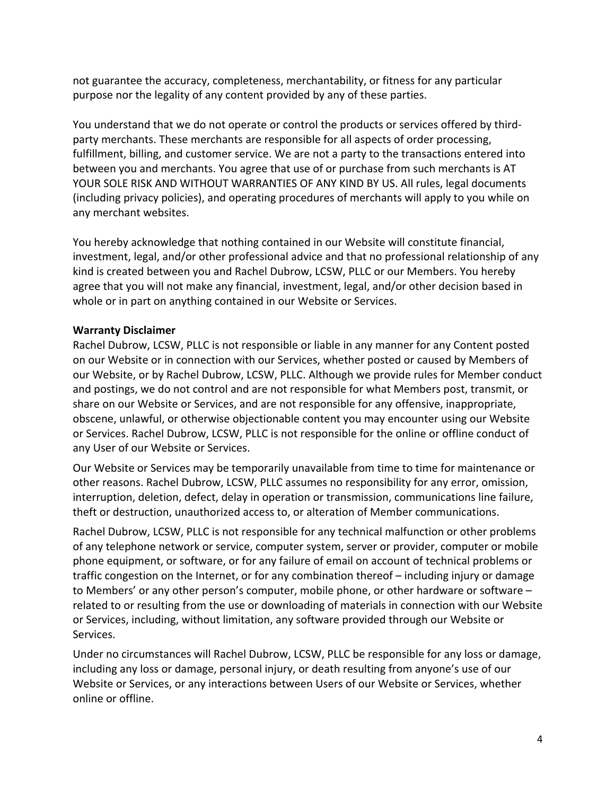not guarantee the accuracy, completeness, merchantability, or fitness for any particular purpose nor the legality of any content provided by any of these parties.

You understand that we do not operate or control the products or services offered by thirdparty merchants. These merchants are responsible for all aspects of order processing, fulfillment, billing, and customer service. We are not a party to the transactions entered into between you and merchants. You agree that use of or purchase from such merchants is AT YOUR SOLE RISK AND WITHOUT WARRANTIES OF ANY KIND BY US. All rules, legal documents (including privacy policies), and operating procedures of merchants will apply to you while on any merchant websites.

You hereby acknowledge that nothing contained in our Website will constitute financial, investment, legal, and/or other professional advice and that no professional relationship of any kind is created between you and Rachel Dubrow, LCSW, PLLC or our Members. You hereby agree that you will not make any financial, investment, legal, and/or other decision based in whole or in part on anything contained in our Website or Services.

# **Warranty Disclaimer**

Rachel Dubrow, LCSW, PLLC is not responsible or liable in any manner for any Content posted on our Website or in connection with our Services, whether posted or caused by Members of our Website, or by Rachel Dubrow, LCSW, PLLC. Although we provide rules for Member conduct and postings, we do not control and are not responsible for what Members post, transmit, or share on our Website or Services, and are not responsible for any offensive, inappropriate, obscene, unlawful, or otherwise objectionable content you may encounter using our Website or Services. Rachel Dubrow, LCSW, PLLC is not responsible for the online or offline conduct of any User of our Website or Services.

Our Website or Services may be temporarily unavailable from time to time for maintenance or other reasons. Rachel Dubrow, LCSW, PLLC assumes no responsibility for any error, omission, interruption, deletion, defect, delay in operation or transmission, communications line failure, theft or destruction, unauthorized access to, or alteration of Member communications.

Rachel Dubrow, LCSW, PLLC is not responsible for any technical malfunction or other problems of any telephone network or service, computer system, server or provider, computer or mobile phone equipment, or software, or for any failure of email on account of technical problems or traffic congestion on the Internet, or for any combination thereof – including injury or damage to Members' or any other person's computer, mobile phone, or other hardware or software – related to or resulting from the use or downloading of materials in connection with our Website or Services, including, without limitation, any software provided through our Website or Services.

Under no circumstances will Rachel Dubrow, LCSW, PLLC be responsible for any loss or damage, including any loss or damage, personal injury, or death resulting from anyone's use of our Website or Services, or any interactions between Users of our Website or Services, whether online or offline.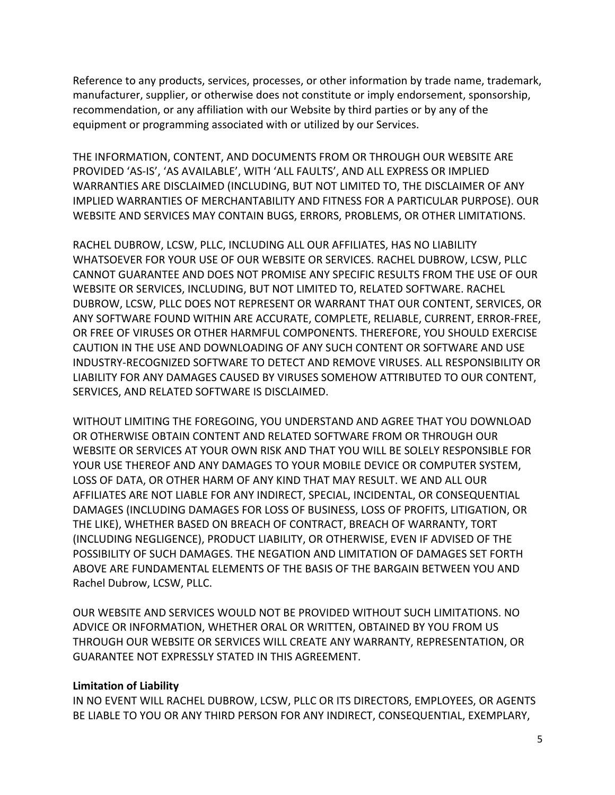Reference to any products, services, processes, or other information by trade name, trademark, manufacturer, supplier, or otherwise does not constitute or imply endorsement, sponsorship, recommendation, or any affiliation with our Website by third parties or by any of the equipment or programming associated with or utilized by our Services.

THE INFORMATION, CONTENT, AND DOCUMENTS FROM OR THROUGH OUR WEBSITE ARE PROVIDED 'AS-IS', 'AS AVAILABLE', WITH 'ALL FAULTS', AND ALL EXPRESS OR IMPLIED WARRANTIES ARE DISCLAIMED (INCLUDING, BUT NOT LIMITED TO, THE DISCLAIMER OF ANY IMPLIED WARRANTIES OF MERCHANTABILITY AND FITNESS FOR A PARTICULAR PURPOSE). OUR WEBSITE AND SERVICES MAY CONTAIN BUGS, ERRORS, PROBLEMS, OR OTHER LIMITATIONS.

RACHEL DUBROW, LCSW, PLLC, INCLUDING ALL OUR AFFILIATES, HAS NO LIABILITY WHATSOEVER FOR YOUR USE OF OUR WEBSITE OR SERVICES. RACHEL DUBROW, LCSW, PLLC CANNOT GUARANTEE AND DOES NOT PROMISE ANY SPECIFIC RESULTS FROM THE USE OF OUR WEBSITE OR SERVICES, INCLUDING, BUT NOT LIMITED TO, RELATED SOFTWARE. RACHEL DUBROW, LCSW, PLLC DOES NOT REPRESENT OR WARRANT THAT OUR CONTENT, SERVICES, OR ANY SOFTWARE FOUND WITHIN ARE ACCURATE, COMPLETE, RELIABLE, CURRENT, ERROR-FREE, OR FREE OF VIRUSES OR OTHER HARMFUL COMPONENTS. THEREFORE, YOU SHOULD EXERCISE CAUTION IN THE USE AND DOWNLOADING OF ANY SUCH CONTENT OR SOFTWARE AND USE INDUSTRY-RECOGNIZED SOFTWARE TO DETECT AND REMOVE VIRUSES. ALL RESPONSIBILITY OR LIABILITY FOR ANY DAMAGES CAUSED BY VIRUSES SOMEHOW ATTRIBUTED TO OUR CONTENT, SERVICES, AND RELATED SOFTWARE IS DISCLAIMED.

WITHOUT LIMITING THE FOREGOING, YOU UNDERSTAND AND AGREE THAT YOU DOWNLOAD OR OTHERWISE OBTAIN CONTENT AND RELATED SOFTWARE FROM OR THROUGH OUR WEBSITE OR SERVICES AT YOUR OWN RISK AND THAT YOU WILL BE SOLELY RESPONSIBLE FOR YOUR USE THEREOF AND ANY DAMAGES TO YOUR MOBILE DEVICE OR COMPUTER SYSTEM, LOSS OF DATA, OR OTHER HARM OF ANY KIND THAT MAY RESULT. WE AND ALL OUR AFFILIATES ARE NOT LIABLE FOR ANY INDIRECT, SPECIAL, INCIDENTAL, OR CONSEQUENTIAL DAMAGES (INCLUDING DAMAGES FOR LOSS OF BUSINESS, LOSS OF PROFITS, LITIGATION, OR THE LIKE), WHETHER BASED ON BREACH OF CONTRACT, BREACH OF WARRANTY, TORT (INCLUDING NEGLIGENCE), PRODUCT LIABILITY, OR OTHERWISE, EVEN IF ADVISED OF THE POSSIBILITY OF SUCH DAMAGES. THE NEGATION AND LIMITATION OF DAMAGES SET FORTH ABOVE ARE FUNDAMENTAL ELEMENTS OF THE BASIS OF THE BARGAIN BETWEEN YOU AND Rachel Dubrow, LCSW, PLLC.

OUR WEBSITE AND SERVICES WOULD NOT BE PROVIDED WITHOUT SUCH LIMITATIONS. NO ADVICE OR INFORMATION, WHETHER ORAL OR WRITTEN, OBTAINED BY YOU FROM US THROUGH OUR WEBSITE OR SERVICES WILL CREATE ANY WARRANTY, REPRESENTATION, OR GUARANTEE NOT EXPRESSLY STATED IN THIS AGREEMENT.

#### **Limitation of Liability**

IN NO EVENT WILL RACHEL DUBROW, LCSW, PLLC OR ITS DIRECTORS, EMPLOYEES, OR AGENTS BE LIABLE TO YOU OR ANY THIRD PERSON FOR ANY INDIRECT, CONSEQUENTIAL, EXEMPLARY,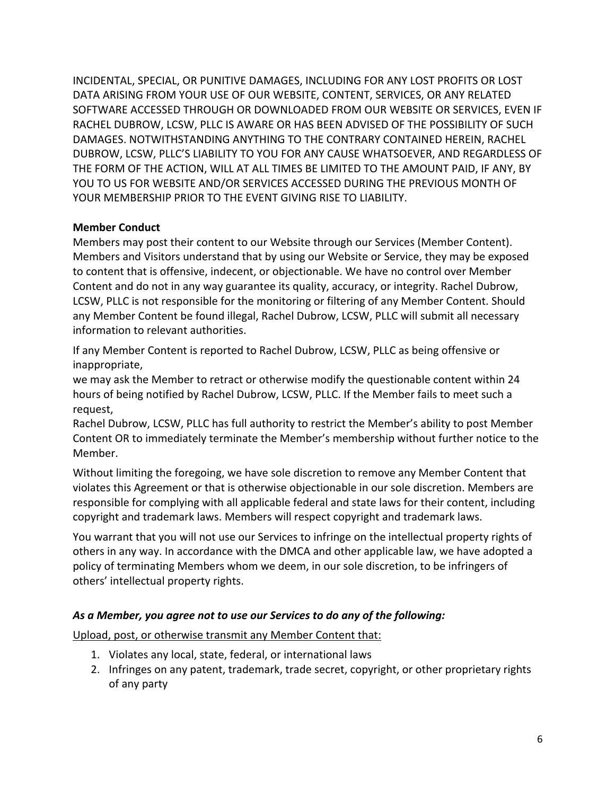INCIDENTAL, SPECIAL, OR PUNITIVE DAMAGES, INCLUDING FOR ANY LOST PROFITS OR LOST DATA ARISING FROM YOUR USE OF OUR WEBSITE, CONTENT, SERVICES, OR ANY RELATED SOFTWARE ACCESSED THROUGH OR DOWNLOADED FROM OUR WEBSITE OR SERVICES, EVEN IF RACHEL DUBROW, LCSW, PLLC IS AWARE OR HAS BEEN ADVISED OF THE POSSIBILITY OF SUCH DAMAGES. NOTWITHSTANDING ANYTHING TO THE CONTRARY CONTAINED HEREIN, RACHEL DUBROW, LCSW, PLLC'S LIABILITY TO YOU FOR ANY CAUSE WHATSOEVER, AND REGARDLESS OF THE FORM OF THE ACTION, WILL AT ALL TIMES BE LIMITED TO THE AMOUNT PAID, IF ANY, BY YOU TO US FOR WEBSITE AND/OR SERVICES ACCESSED DURING THE PREVIOUS MONTH OF YOUR MEMBERSHIP PRIOR TO THE EVENT GIVING RISE TO LIABILITY.

# **Member Conduct**

Members may post their content to our Website through our Services (Member Content). Members and Visitors understand that by using our Website or Service, they may be exposed to content that is offensive, indecent, or objectionable. We have no control over Member Content and do not in any way guarantee its quality, accuracy, or integrity. Rachel Dubrow, LCSW, PLLC is not responsible for the monitoring or filtering of any Member Content. Should any Member Content be found illegal, Rachel Dubrow, LCSW, PLLC will submit all necessary information to relevant authorities.

If any Member Content is reported to Rachel Dubrow, LCSW, PLLC as being offensive or inappropriate,

we may ask the Member to retract or otherwise modify the questionable content within 24 hours of being notified by Rachel Dubrow, LCSW, PLLC. If the Member fails to meet such a request,

Rachel Dubrow, LCSW, PLLC has full authority to restrict the Member's ability to post Member Content OR to immediately terminate the Member's membership without further notice to the Member.

Without limiting the foregoing, we have sole discretion to remove any Member Content that violates this Agreement or that is otherwise objectionable in our sole discretion. Members are responsible for complying with all applicable federal and state laws for their content, including copyright and trademark laws. Members will respect copyright and trademark laws.

You warrant that you will not use our Services to infringe on the intellectual property rights of others in any way. In accordance with the DMCA and other applicable law, we have adopted a policy of terminating Members whom we deem, in our sole discretion, to be infringers of others' intellectual property rights.

# *As a Member, you agree not to use our Services to do any of the following:*

Upload, post, or otherwise transmit any Member Content that:

- 1. Violates any local, state, federal, or international laws
- 2. Infringes on any patent, trademark, trade secret, copyright, or other proprietary rights of any party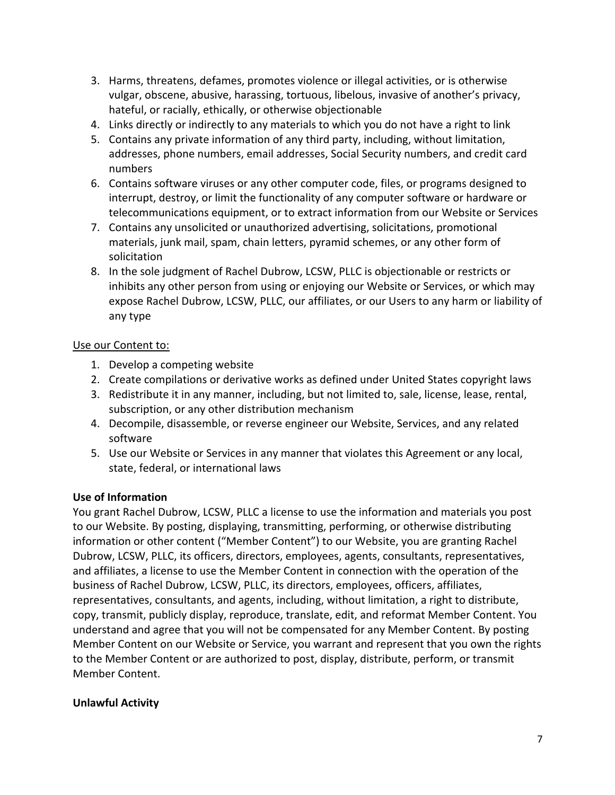- 3. Harms, threatens, defames, promotes violence or illegal activities, or is otherwise vulgar, obscene, abusive, harassing, tortuous, libelous, invasive of another's privacy, hateful, or racially, ethically, or otherwise objectionable
- 4. Links directly or indirectly to any materials to which you do not have a right to link
- 5. Contains any private information of any third party, including, without limitation, addresses, phone numbers, email addresses, Social Security numbers, and credit card numbers
- 6. Contains software viruses or any other computer code, files, or programs designed to interrupt, destroy, or limit the functionality of any computer software or hardware or telecommunications equipment, or to extract information from our Website or Services
- 7. Contains any unsolicited or unauthorized advertising, solicitations, promotional materials, junk mail, spam, chain letters, pyramid schemes, or any other form of solicitation
- 8. In the sole judgment of Rachel Dubrow, LCSW, PLLC is objectionable or restricts or inhibits any other person from using or enjoying our Website or Services, or which may expose Rachel Dubrow, LCSW, PLLC, our affiliates, or our Users to any harm or liability of any type

# Use our Content to:

- 1. Develop a competing website
- 2. Create compilations or derivative works as defined under United States copyright laws
- 3. Redistribute it in any manner, including, but not limited to, sale, license, lease, rental, subscription, or any other distribution mechanism
- 4. Decompile, disassemble, or reverse engineer our Website, Services, and any related software
- 5. Use our Website or Services in any manner that violates this Agreement or any local, state, federal, or international laws

# **Use of Information**

You grant Rachel Dubrow, LCSW, PLLC a license to use the information and materials you post to our Website. By posting, displaying, transmitting, performing, or otherwise distributing information or other content ("Member Content") to our Website, you are granting Rachel Dubrow, LCSW, PLLC, its officers, directors, employees, agents, consultants, representatives, and affiliates, a license to use the Member Content in connection with the operation of the business of Rachel Dubrow, LCSW, PLLC, its directors, employees, officers, affiliates, representatives, consultants, and agents, including, without limitation, a right to distribute, copy, transmit, publicly display, reproduce, translate, edit, and reformat Member Content. You understand and agree that you will not be compensated for any Member Content. By posting Member Content on our Website or Service, you warrant and represent that you own the rights to the Member Content or are authorized to post, display, distribute, perform, or transmit Member Content.

# **Unlawful Activity**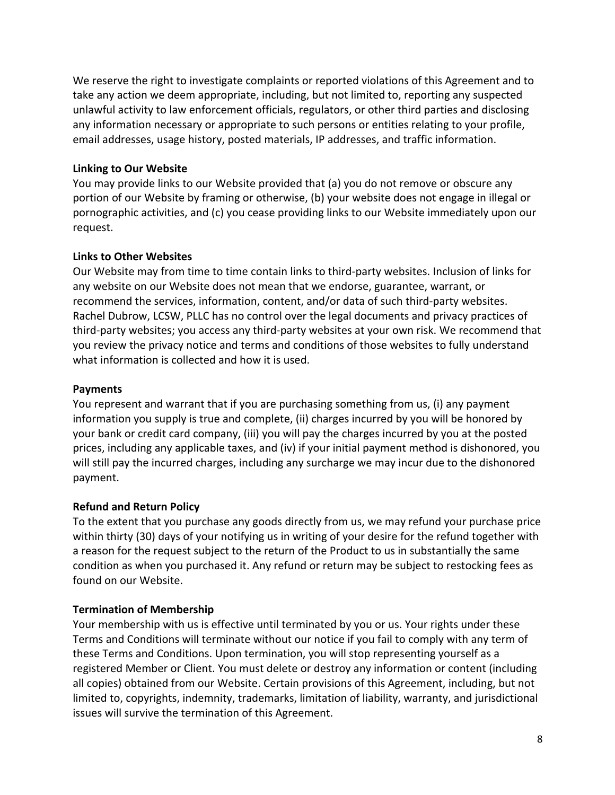We reserve the right to investigate complaints or reported violations of this Agreement and to take any action we deem appropriate, including, but not limited to, reporting any suspected unlawful activity to law enforcement officials, regulators, or other third parties and disclosing any information necessary or appropriate to such persons or entities relating to your profile, email addresses, usage history, posted materials, IP addresses, and traffic information.

## **Linking to Our Website**

You may provide links to our Website provided that (a) you do not remove or obscure any portion of our Website by framing or otherwise, (b) your website does not engage in illegal or pornographic activities, and (c) you cease providing links to our Website immediately upon our request.

## **Links to Other Websites**

Our Website may from time to time contain links to third-party websites. Inclusion of links for any website on our Website does not mean that we endorse, guarantee, warrant, or recommend the services, information, content, and/or data of such third-party websites. Rachel Dubrow, LCSW, PLLC has no control over the legal documents and privacy practices of third-party websites; you access any third-party websites at your own risk. We recommend that you review the privacy notice and terms and conditions of those websites to fully understand what information is collected and how it is used.

## **Payments**

You represent and warrant that if you are purchasing something from us, (i) any payment information you supply is true and complete, (ii) charges incurred by you will be honored by your bank or credit card company, (iii) you will pay the charges incurred by you at the posted prices, including any applicable taxes, and (iv) if your initial payment method is dishonored, you will still pay the incurred charges, including any surcharge we may incur due to the dishonored payment.

# **Refund and Return Policy**

To the extent that you purchase any goods directly from us, we may refund your purchase price within thirty (30) days of your notifying us in writing of your desire for the refund together with a reason for the request subject to the return of the Product to us in substantially the same condition as when you purchased it. Any refund or return may be subject to restocking fees as found on our Website.

# **Termination of Membership**

Your membership with us is effective until terminated by you or us. Your rights under these Terms and Conditions will terminate without our notice if you fail to comply with any term of these Terms and Conditions. Upon termination, you will stop representing yourself as a registered Member or Client. You must delete or destroy any information or content (including all copies) obtained from our Website. Certain provisions of this Agreement, including, but not limited to, copyrights, indemnity, trademarks, limitation of liability, warranty, and jurisdictional issues will survive the termination of this Agreement.